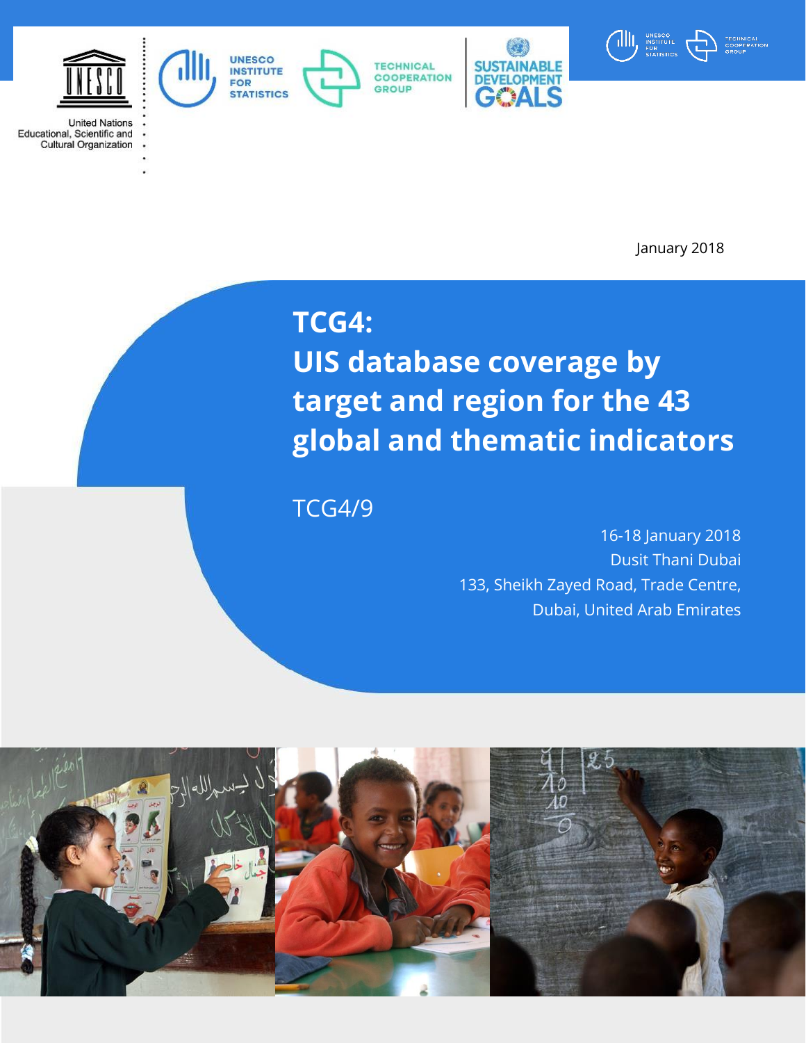

United Nations<br>Educational, Scientific and<br>Cultural Opening the **Cultural Organization** 

1

**ABLE DEVELO MENT** CALS



January 2018

## **TCG4:**

**COOPERATION** 

**GROUP** 

UNESCO<br>INSTITUTE<br>FOR

**STATISTICS** 

**UIS database coverage by target and region for the 43 global and thematic indicators**

TCG4/9

16-18 January 2018 Dusit Thani Dubai 133, Sheikh Zayed Road, Trade Centre, Dubai, United Arab Emirates

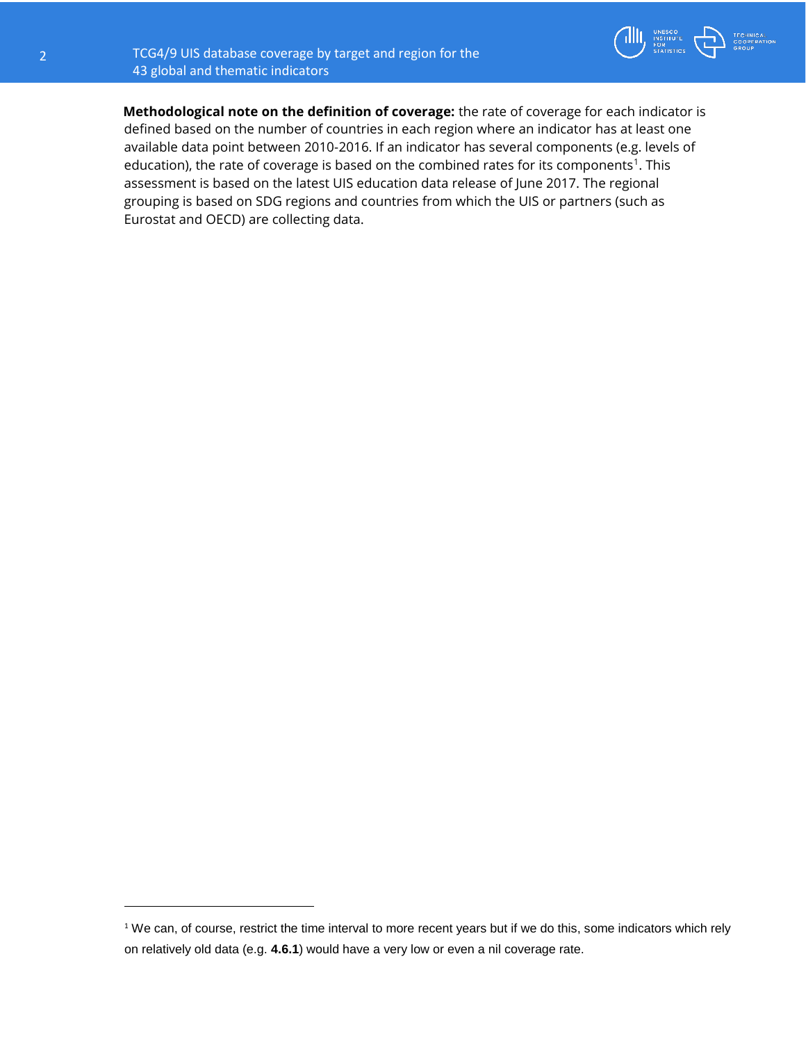$\overline{\phantom{a}}$ 



**Methodological note on the definition of coverage:** the rate of coverage for each indicator is defined based on the number of countries in each region where an indicator has at least one available data point between 2010-2016. If an indicator has several components (e.g. levels of education), the rate of coverage is based on the combined rates for its components<sup>1</sup>. This assessment is based on the latest UIS education data release of June 2017. The regional grouping is based on SDG regions and countries from which the UIS or partners (such as Eurostat and OECD) are collecting data.

<sup>&</sup>lt;sup>1</sup> We can, of course, restrict the time interval to more recent years but if we do this, some indicators which rely on relatively old data (e.g. **4.6.1**) would have a very low or even a nil coverage rate.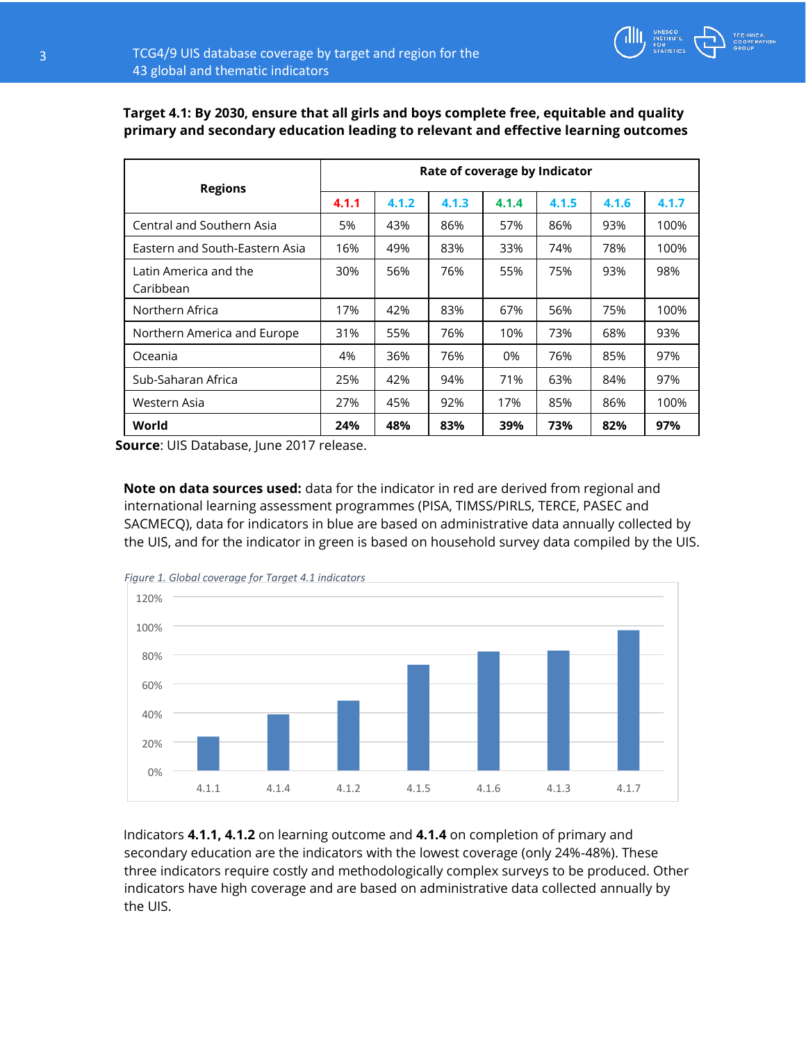

|                                    | Rate of coverage by Indicator |       |       |       |       |       |       |
|------------------------------------|-------------------------------|-------|-------|-------|-------|-------|-------|
| <b>Regions</b>                     | 4.1.1                         | 4.1.2 | 4.1.3 | 4.1.4 | 4.1.5 | 4.1.6 | 4.1.7 |
| Central and Southern Asia          | 5%                            | 43%   | 86%   | 57%   | 86%   | 93%   | 100%  |
| Eastern and South-Eastern Asia     | 16%                           | 49%   | 83%   | 33%   | 74%   | 78%   | 100%  |
| Latin America and the<br>Caribbean | 30%                           | 56%   | 76%   | 55%   | 75%   | 93%   | 98%   |
| Northern Africa                    | 17%                           | 42%   | 83%   | 67%   | 56%   | 75%   | 100%  |
| Northern America and Europe        | 31%                           | 55%   | 76%   | 10%   | 73%   | 68%   | 93%   |
| Oceania                            | 4%                            | 36%   | 76%   | 0%    | 76%   | 85%   | 97%   |
| Sub-Saharan Africa                 | 25%                           | 42%   | 94%   | 71%   | 63%   | 84%   | 97%   |
| Western Asia                       | 27%                           | 45%   | 92%   | 17%   | 85%   | 86%   | 100%  |
| World                              | 24%                           | 48%   | 83%   | 39%   | 73%   | 82%   | 97%   |

**Target 4.1: By 2030, ensure that all girls and boys complete free, equitable and quality primary and secondary education leading to relevant and effective learning outcomes** 

 **Source**: UIS Database, June 2017 release.

**Note on data sources used:** data for the indicator in red are derived from regional and international learning assessment programmes (PISA, TIMSS/PIRLS, TERCE, PASEC and SACMECQ), data for indicators in blue are based on administrative data annually collected by the UIS, and for the indicator in green is based on household survey data compiled by the UIS.



Indicators **4.1.1, 4.1.2** on learning outcome and **4.1.4** on completion of primary and secondary education are the indicators with the lowest coverage (only 24%-48%). These three indicators require costly and methodologically complex surveys to be produced. Other indicators have high coverage and are based on administrative data collected annually by the UIS.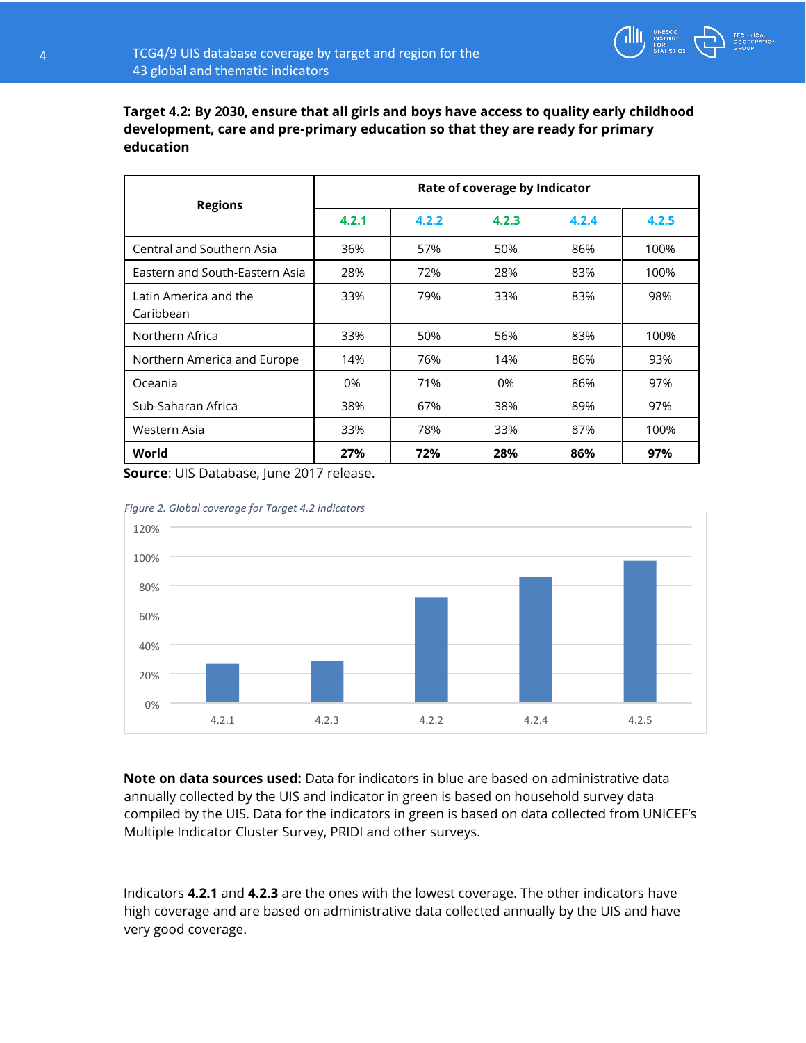

**Target 4.2: By 2030, ensure that all girls and boys have access to quality early childhood development, care and pre-primary education so that they are ready for primary education** 

| <b>Regions</b>                     | Rate of coverage by Indicator |       |       |       |       |  |  |  |
|------------------------------------|-------------------------------|-------|-------|-------|-------|--|--|--|
|                                    | 4.2.1                         | 4.2.2 | 4.2.3 | 4.2.4 | 4.2.5 |  |  |  |
| Central and Southern Asia          | 36%                           | 57%   | 50%   | 86%   | 100%  |  |  |  |
| Eastern and South-Eastern Asia     | 28%                           | 72%   | 28%   | 83%   | 100%  |  |  |  |
| Latin America and the<br>Caribbean | 33%                           | 79%   | 33%   | 83%   | 98%   |  |  |  |
| Northern Africa                    | 33%                           | 50%   | 56%   | 83%   | 100%  |  |  |  |
| Northern America and Europe        | 14%                           | 76%   | 14%   | 86%   | 93%   |  |  |  |
| Oceania                            | 0%                            | 71%   | 0%    | 86%   | 97%   |  |  |  |
| Sub-Saharan Africa                 | 38%                           | 67%   | 38%   | 89%   | 97%   |  |  |  |
| Western Asia                       | 33%                           | 78%   | 33%   | 87%   | 100%  |  |  |  |
| World                              | 27%                           | 72%   | 28%   | 86%   | 97%   |  |  |  |

**Source**: UIS Database, June 2017 release.





**Note on data sources used:** Data for indicators in blue are based on administrative data annually collected by the UIS and indicator in green is based on household survey data compiled by the UIS. Data for the indicators in green is based on data collected from UNICEF's Multiple Indicator Cluster Survey, PRIDI and other surveys.

Indicators **4.2.1** and **4.2.3** are the ones with the lowest coverage. The other indicators have high coverage and are based on administrative data collected annually by the UIS and have very good coverage.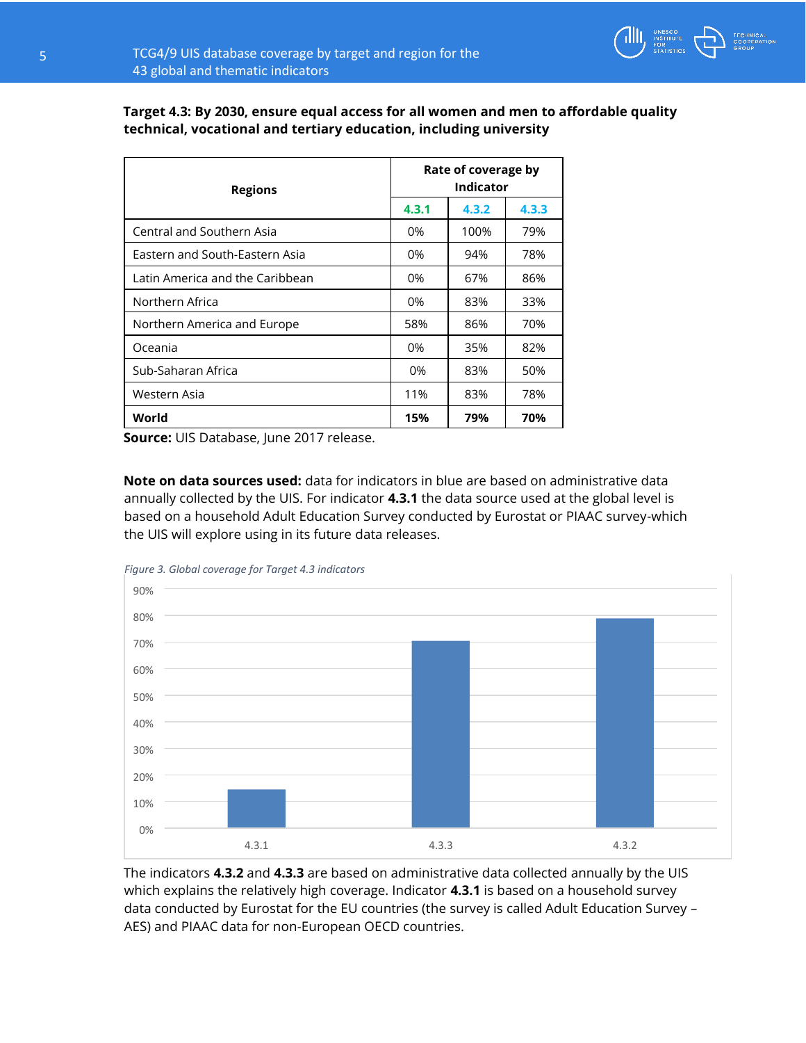

**Target 4.3: By 2030, ensure equal access for all women and men to affordable quality technical, vocational and tertiary education, including university** 

| <b>Regions</b>                  | Rate of coverage by<br><b>Indicator</b> |       |       |  |  |
|---------------------------------|-----------------------------------------|-------|-------|--|--|
|                                 | 4.3.1                                   | 4.3.2 | 4.3.3 |  |  |
| Central and Southern Asia       | 0%                                      | 100%  | 79%   |  |  |
| Eastern and South-Eastern Asia  | 0%                                      | 94%   | 78%   |  |  |
| Latin America and the Caribbean | 0%                                      | 67%   | 86%   |  |  |
| Northern Africa                 | 0%                                      | 83%   | 33%   |  |  |
| Northern America and Europe     | 58%                                     | 86%   | 70%   |  |  |
| Oceania                         | 0%                                      | 35%   | 82%   |  |  |
| Sub-Saharan Africa              | 0%                                      | 83%   | 50%   |  |  |
| Western Asia                    | 11%                                     | 83%   | 78%   |  |  |
| World                           | 15%                                     | 79%   | 70%   |  |  |

**Source:** UIS Database, June 2017 release.

**Note on data sources used:** data for indicators in blue are based on administrative data annually collected by the UIS. For indicator **4.3.1** the data source used at the global level is based on a household Adult Education Survey conducted by Eurostat or PIAAC survey-which the UIS will explore using in its future data releases.



The indicators **4.3.2** and **4.3.3** are based on administrative data collected annually by the UIS which explains the relatively high coverage. Indicator **4.3.1** is based on a household survey data conducted by Eurostat for the EU countries (the survey is called Adult Education Survey – AES) and PIAAC data for non-European OECD countries.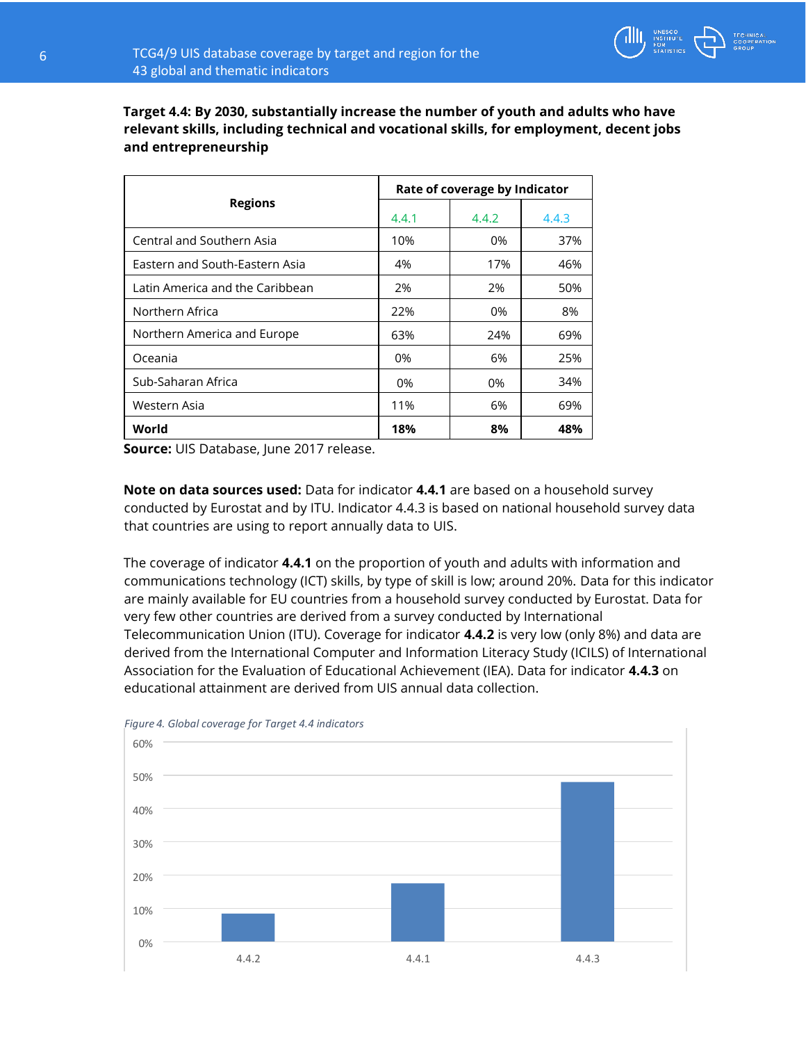

**Target 4.4: By 2030, substantially increase the number of youth and adults who have relevant skills, including technical and vocational skills, for employment, decent jobs and entrepreneurship** 

|                                 | Rate of coverage by Indicator |       |       |  |  |
|---------------------------------|-------------------------------|-------|-------|--|--|
| <b>Regions</b>                  | 4.4.1                         | 4.4.2 | 4.4.3 |  |  |
| Central and Southern Asia       | 10%                           | 0%    | 37%   |  |  |
| Eastern and South-Eastern Asia  | 4%                            | 17%   | 46%   |  |  |
| Latin America and the Caribbean | 2%                            | 2%    | 50%   |  |  |
| Northern Africa                 | 22%                           | 0%    | 8%    |  |  |
| Northern America and Europe     | 63%                           | 24%   | 69%   |  |  |
| Oceania                         | 0%                            | 6%    | 25%   |  |  |
| Sub-Saharan Africa              | 0%                            | 0%    | 34%   |  |  |
| Western Asia                    | 11%                           | 6%    | 69%   |  |  |
| World                           | 18%                           | 8%    | 48%   |  |  |

**Source:** UIS Database, June 2017 release.

**Note on data sources used:** Data for indicator **4.4.1** are based on a household survey conducted by Eurostat and by ITU. Indicator 4.4.3 is based on national household survey data that countries are using to report annually data to UIS.

The coverage of indicator **4.4.1** on the proportion of youth and adults with information and communications technology (ICT) skills, by type of skill is low; around 20%. Data for this indicator are mainly available for EU countries from a household survey conducted by Eurostat. Data for very few other countries are derived from a survey conducted by International Telecommunication Union (ITU). Coverage for indicator **4.4.2** is very low (only 8%) and data are derived from the International Computer and Information Literacy Study (ICILS) of International Association for the Evaluation of Educational Achievement (IEA). Data for indicator **4.4.3** on educational attainment are derived from UIS annual data collection.



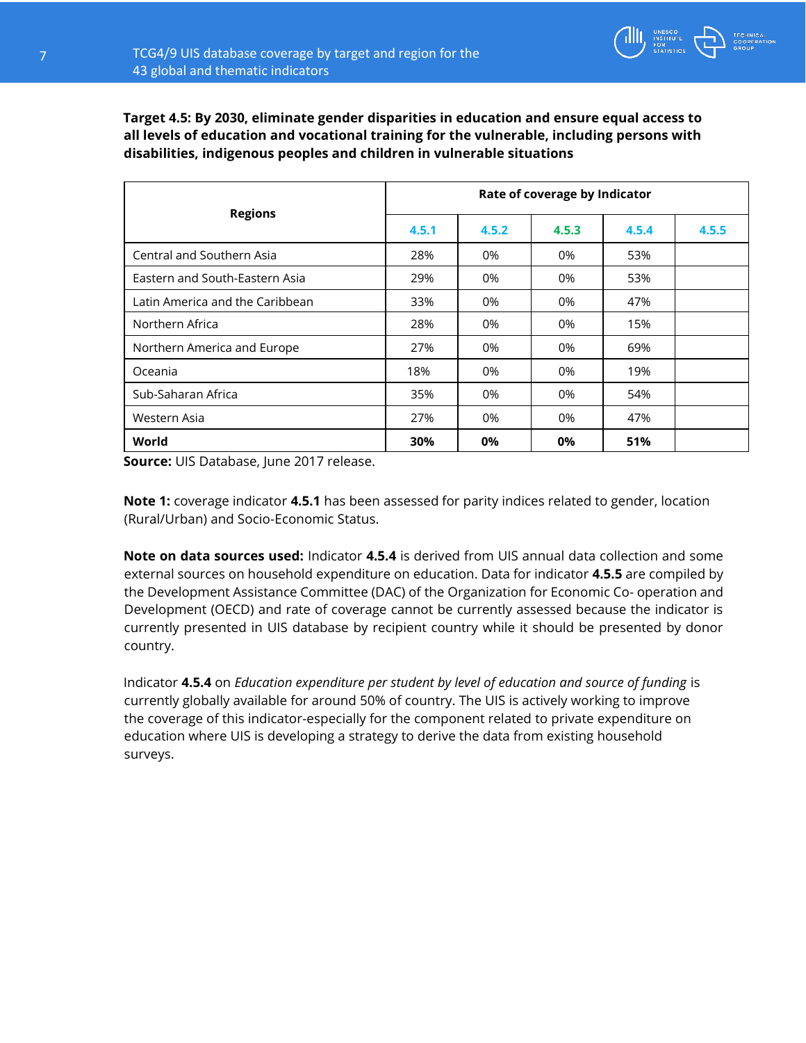

**Target 4.5: By 2030, eliminate gender disparities in education and ensure equal access to all levels of education and vocational training for the vulnerable, including persons with disabilities, indigenous peoples and children in vulnerable situations** 

|                                 | Rate of coverage by Indicator |       |       |       |       |  |  |
|---------------------------------|-------------------------------|-------|-------|-------|-------|--|--|
| <b>Regions</b>                  | 4.5.1                         | 4.5.2 | 4.5.3 | 4.5.4 | 4.5.5 |  |  |
| Central and Southern Asia       | 28%                           | 0%    | 0%    | 53%   |       |  |  |
| Eastern and South-Eastern Asia  | 29%                           | 0%    | 0%    | 53%   |       |  |  |
| Latin America and the Caribbean | 33%                           | 0%    | 0%    | 47%   |       |  |  |
| Northern Africa                 | 28%                           | 0%    | 0%    | 15%   |       |  |  |
| Northern America and Europe     | 27%                           | 0%    | 0%    | 69%   |       |  |  |
| Oceania                         | 18%                           | 0%    | 0%    | 19%   |       |  |  |
| Sub-Saharan Africa              | 35%                           | 0%    | 0%    | 54%   |       |  |  |
| Western Asia                    | 27%                           | 0%    | 0%    | 47%   |       |  |  |
| World                           | 30%                           | 0%    | 0%    | 51%   |       |  |  |

**Source:** UIS Database, June 2017 release.

**Note 1:** coverage indicator **4.5.1** has been assessed for parity indices related to gender, location (Rural/Urban) and Socio-Economic Status.

**Note on data sources used:** Indicator **4.5.4** is derived from UIS annual data collection and some external sources on household expenditure on education. Data for indicator **4.5.5** are compiled by the Development Assistance Committee (DAC) of the Organization for Economic Co- operation and Development (OECD) and rate of coverage cannot be currently assessed because the indicator is currently presented in UIS database by recipient country while it should be presented by donor country.

Indicator **4.5.4** on *Education expenditure per student by level of education and source of funding* is currently globally available for around 50% of country. The UIS is actively working to improve the coverage of this indicator-especially for the component related to private expenditure on education where UIS is developing a strategy to derive the data from existing household surveys.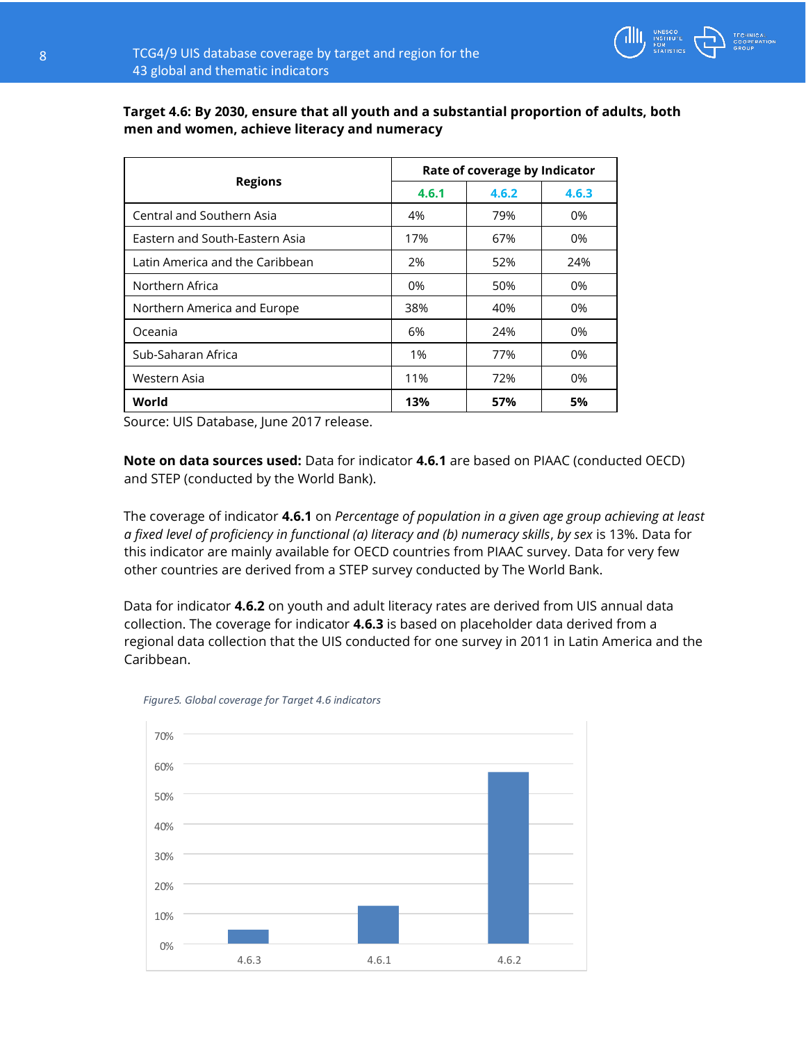

## **Target 4.6: By 2030, ensure that all youth and a substantial proportion of adults, both men and women, achieve literacy and numeracy**

|                                 | Rate of coverage by Indicator |       |       |  |  |
|---------------------------------|-------------------------------|-------|-------|--|--|
| <b>Regions</b>                  | 4.6.1                         | 4.6.2 | 4.6.3 |  |  |
| Central and Southern Asia       | 4%                            | 79%   | 0%    |  |  |
| Eastern and South-Eastern Asia  | 17%                           | 67%   | 0%    |  |  |
| Latin America and the Caribbean | 2%                            | 52%   | 24%   |  |  |
| Northern Africa                 | 0%                            | 50%   | 0%    |  |  |
| Northern America and Europe     | 38%                           | 40%   | 0%    |  |  |
| Oceania                         | 6%                            | 24%   | 0%    |  |  |
| Sub-Saharan Africa              | 1%                            | 77%   | 0%    |  |  |
| Western Asia                    | 11%                           | 72%   | 0%    |  |  |
| World                           | 13%                           | 57%   | 5%    |  |  |

Source: UIS Database, June 2017 release.

**Note on data sources used:** Data for indicator **4.6.1** are based on PIAAC (conducted OECD) and STEP (conducted by the World Bank).

The coverage of indicator **4.6.1** on *Percentage of population in a given age group achieving at least a fixed level of proficiency in functional (a) literacy and (b) numeracy skills*, *by sex* is 13%. Data for this indicator are mainly available for OECD countries from PIAAC survey. Data for very few other countries are derived from a STEP survey conducted by The World Bank.

Data for indicator **4.6.2** on youth and adult literacy rates are derived from UIS annual data collection. The coverage for indicator **4.6.3** is based on placeholder data derived from a regional data collection that the UIS conducted for one survey in 2011 in Latin America and the Caribbean.



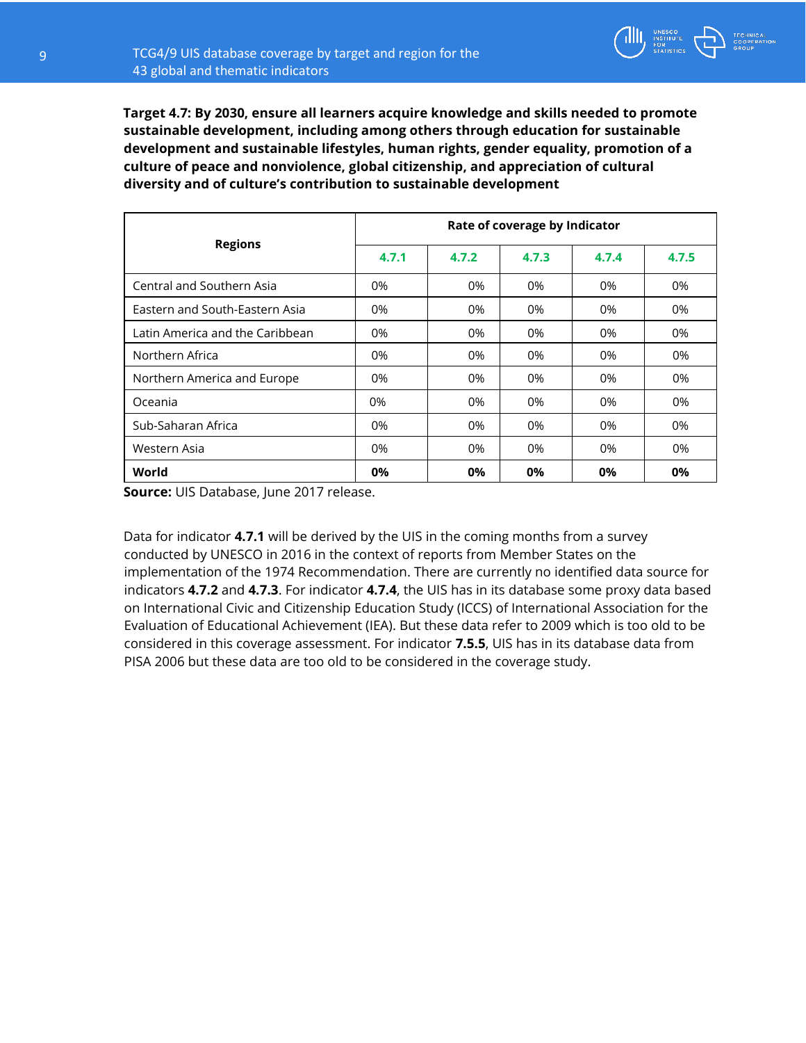**Target 4.7: By 2030, ensure all learners acquire knowledge and skills needed to promote sustainable development, including among others through education for sustainable development and sustainable lifestyles, human rights, gender equality, promotion of a culture of peace and nonviolence, global citizenship, and appreciation of cultural diversity and of culture's contribution to sustainable development** 

|                                 | Rate of coverage by Indicator |       |       |       |       |  |  |
|---------------------------------|-------------------------------|-------|-------|-------|-------|--|--|
| <b>Regions</b>                  | 4.7.1                         | 4.7.2 | 4.7.3 | 4.7.4 | 4.7.5 |  |  |
| Central and Southern Asia       | 0%                            | 0%    | 0%    | 0%    | 0%    |  |  |
| Eastern and South-Eastern Asia  | 0%                            | 0%    | 0%    | 0%    | 0%    |  |  |
| Latin America and the Caribbean | 0%                            | 0%    | 0%    | 0%    | 0%    |  |  |
| Northern Africa                 | 0%                            | 0%    | 0%    | 0%    | 0%    |  |  |
| Northern America and Europe     | 0%                            | 0%    | 0%    | 0%    | 0%    |  |  |
| Oceania                         | 0%                            | 0%    | 0%    | 0%    | 0%    |  |  |
| Sub-Saharan Africa              | 0%                            | 0%    | 0%    | 0%    | 0%    |  |  |
| Western Asia                    | 0%                            | 0%    | 0%    | 0%    | 0%    |  |  |
| World                           | 0%                            | 0%    | 0%    | 0%    | 0%    |  |  |

**Source:** UIS Database, June 2017 release.

Data for indicator **4.7.1** will be derived by the UIS in the coming months from a survey conducted by UNESCO in 2016 in the context of reports from Member States on the implementation of the 1974 Recommendation. There are currently no identified data source for indicators **4.7.2** and **4.7.3**. For indicator **4.7.4**, the UIS has in its database some proxy data based on International Civic and Citizenship Education Study (ICCS) of International Association for the Evaluation of Educational Achievement (IEA). But these data refer to 2009 which is too old to be considered in this coverage assessment. For indicator **7.5.5**, UIS has in its database data from PISA 2006 but these data are too old to be considered in the coverage study.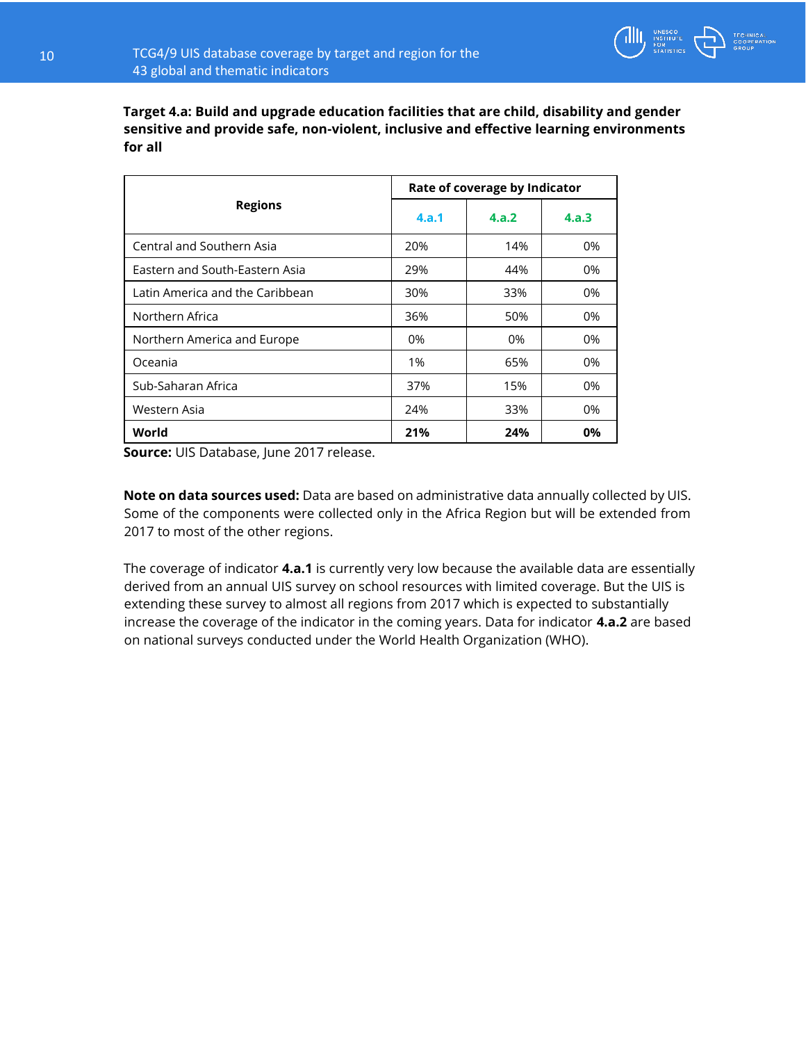

**Target 4.a: Build and upgrade education facilities that are child, disability and gender sensitive and provide safe, non-violent, inclusive and effective learning environments for all** 

|                                 | Rate of coverage by Indicator |       |       |  |  |
|---------------------------------|-------------------------------|-------|-------|--|--|
| <b>Regions</b>                  | 4.a.1                         | 4.a.2 | 4.a.3 |  |  |
| Central and Southern Asia       | 20%                           | 14%   | 0%    |  |  |
| Eastern and South-Eastern Asia  | 29%                           | 44%   | 0%    |  |  |
| Latin America and the Caribbean | 30%                           | 33%   | $0\%$ |  |  |
| Northern Africa                 | 36%                           | 50%   | 0%    |  |  |
| Northern America and Europe     | 0%                            | 0%    | 0%    |  |  |
| Oceania                         | 1%                            | 65%   | $0\%$ |  |  |
| Sub-Saharan Africa              | 37%                           | 15%   | 0%    |  |  |
| Western Asia                    | 24%                           | 33%   | 0%    |  |  |
| World                           | 21%                           | 24%   | 0%    |  |  |

**Source:** UIS Database, June 2017 release.

**Note on data sources used:** Data are based on administrative data annually collected by UIS. Some of the components were collected only in the Africa Region but will be extended from 2017 to most of the other regions.

The coverage of indicator **4.a.1** is currently very low because the available data are essentially derived from an annual UIS survey on school resources with limited coverage. But the UIS is extending these survey to almost all regions from 2017 which is expected to substantially increase the coverage of the indicator in the coming years. Data for indicator **4.a.2** are based on national surveys conducted under the World Health Organization (WHO).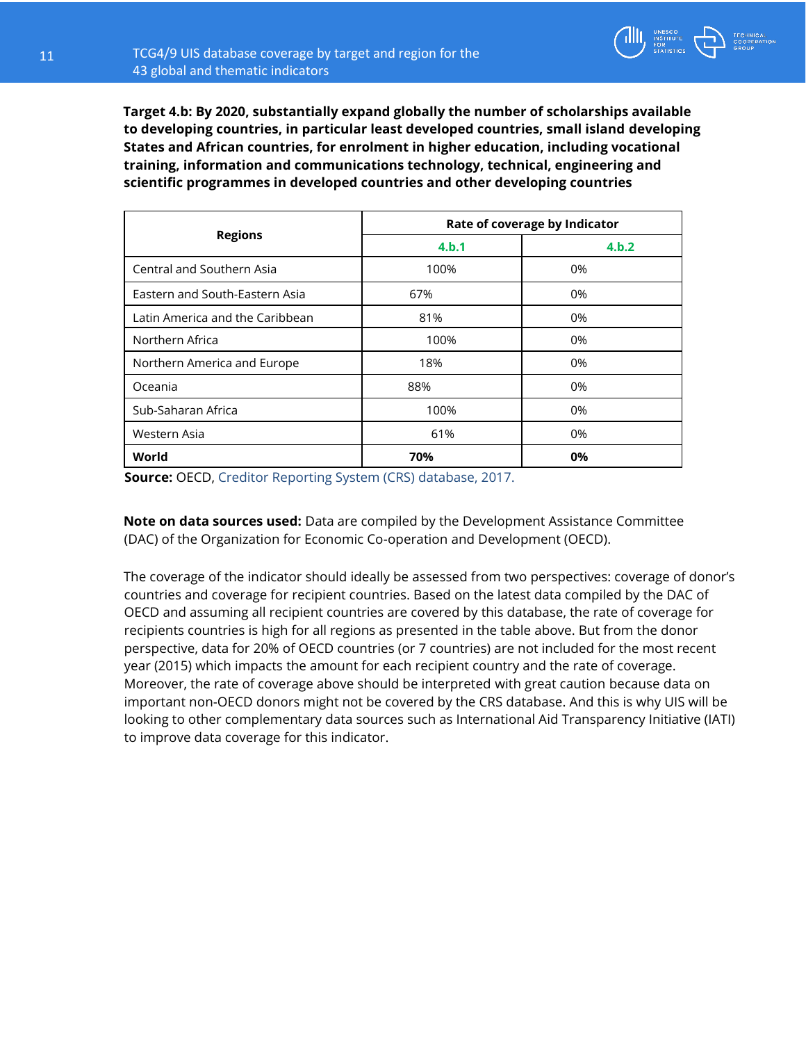**Target 4.b: By 2020, substantially expand globally the number of scholarships available to developing countries, in particular least developed countries, small island developing States and African countries, for enrolment in higher education, including vocational training, information and communications technology, technical, engineering and scientific programmes in developed countries and other developing countries** 

|                                 | Rate of coverage by Indicator |       |  |  |  |
|---------------------------------|-------------------------------|-------|--|--|--|
| <b>Regions</b>                  | 4.b.1                         | 4.b.2 |  |  |  |
| Central and Southern Asia       | 100%                          | 0%    |  |  |  |
| Eastern and South-Eastern Asia  | 67%                           | 0%    |  |  |  |
| Latin America and the Caribbean | 81%                           | 0%    |  |  |  |
| Northern Africa                 | 100%                          | 0%    |  |  |  |
| Northern America and Europe     | 18%                           | 0%    |  |  |  |
| Oceania                         | 88%                           | 0%    |  |  |  |
| Sub-Saharan Africa              | 100%                          | 0%    |  |  |  |
| Western Asia                    | 61%                           | 0%    |  |  |  |
| World                           | 70%                           | 0%    |  |  |  |

**Source:** OECD, Creditor Reporting System (CRS) database, 2017.

**Note on data sources used:** Data are compiled by the Development Assistance Committee (DAC) of the Organization for Economic Co-operation and Development (OECD).

The coverage of the indicator should ideally be assessed from two perspectives: coverage of donor's countries and coverage for recipient countries. Based on the latest data compiled by the DAC of OECD and assuming all recipient countries are covered by this database, the rate of coverage for recipients countries is high for all regions as presented in the table above. But from the donor perspective, data for 20% of OECD countries (or 7 countries) are not included for the most recent year (2015) which impacts the amount for each recipient country and the rate of coverage. Moreover, the rate of coverage above should be interpreted with great caution because data on important non-OECD donors might not be covered by the CRS database. And this is why UIS will be looking to other complementary data sources such as International Aid Transparency Initiative (IATI) to improve data coverage for this indicator.